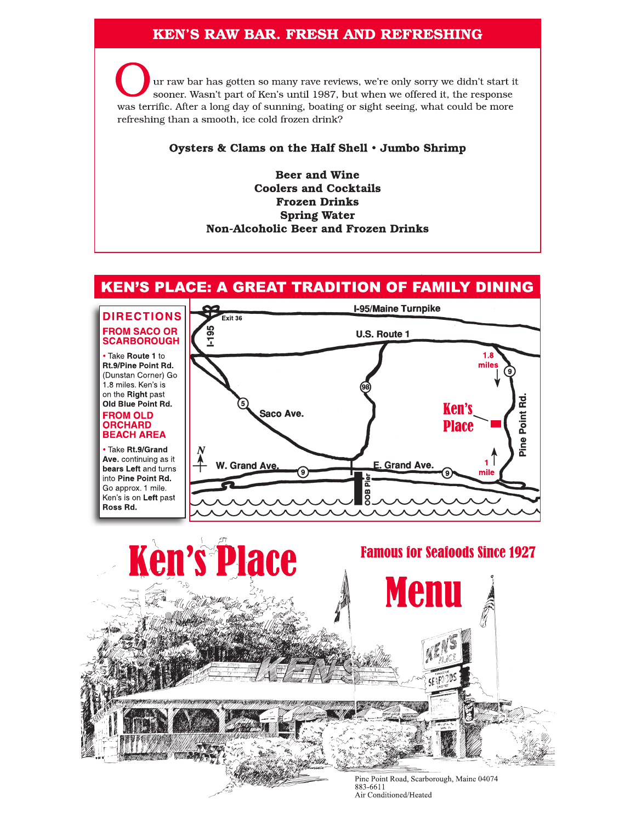# **KEN'S RAW BAR. FRESH AND REFRESHING**

ur raw bar has gotten so many rave reviews, we're only sorry we didn't start it sooner. Wasn't part of Ken's until 1987, but when we offered it, the response was terrific. After a long day of sunning, boating or sight seeing, what could be more refreshing than a smooth, ice cold frozen drink?

### Oysters & Clams on the Half Shell . Jumbo Shrimp

**Beer and Wine Coolers and Cocktails Frozen Drinks Spring Water Non-Alcoholic Beer and Frozen Drinks** 

# **KEN'S PLACE: A GREAT TRADITION OF FAMILY DINING**

### **DIRECTIONS FROM SACO OR SCARBOROUGH**

• Take Route 1 to Rt.9/Pine Point Rd. (Dunstan Corner) Go 1.8 miles. Ken's is on the Right past Old Blue Point Rd. **FROM OLD ORCHARD BEACH AREA** 

· Take Rt.9/Grand Ave. continuing as it bears Left and turns into Pine Point Rd. Go approx. 1 mile. Ken's is on Left past Ross Rd.





883-6611 Air Conditioned/Heated